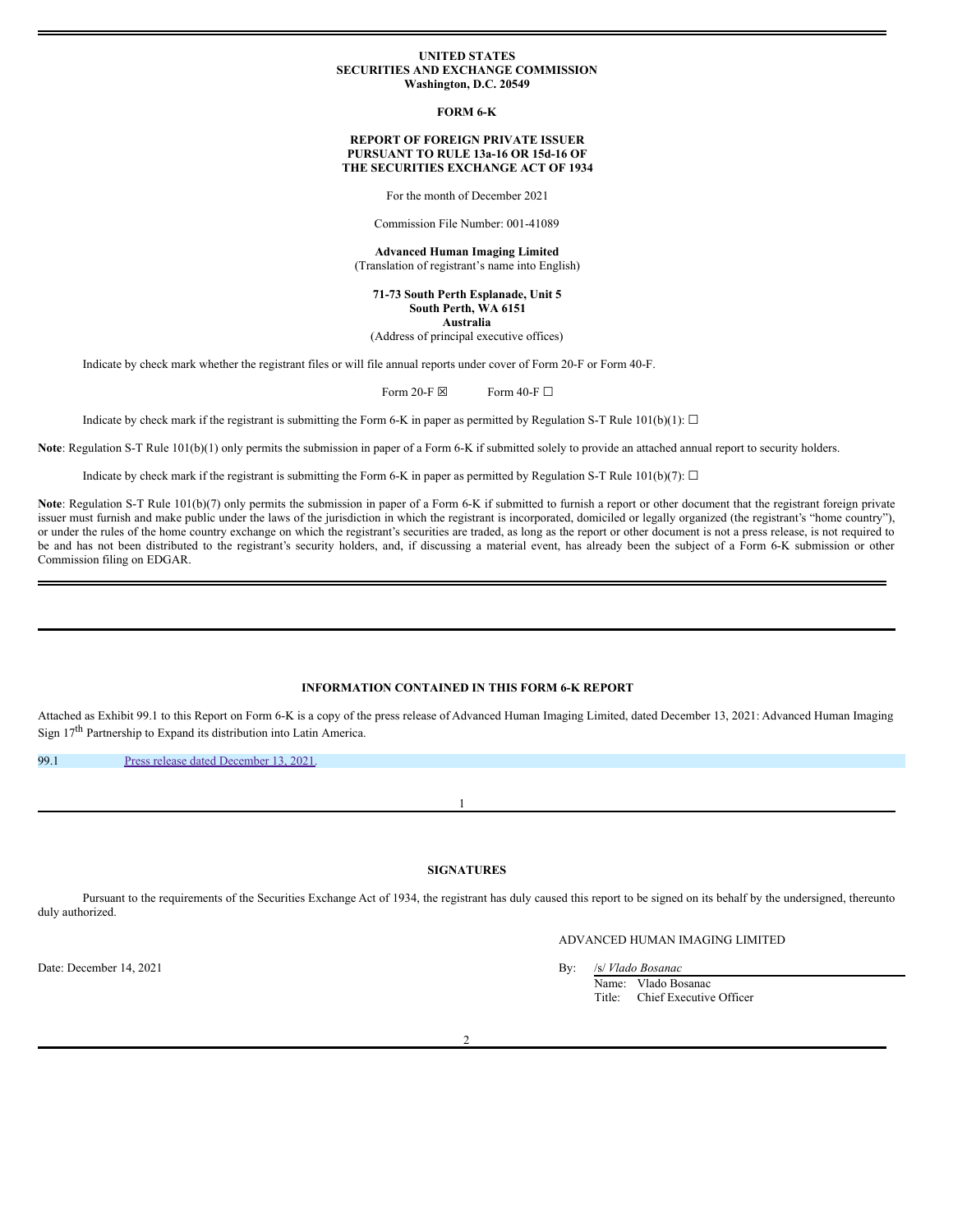#### **UNITED STATES SECURITIES AND EXCHANGE COMMISSION Washington, D.C. 20549**

**FORM 6-K**

### **REPORT OF FOREIGN PRIVATE ISSUER PURSUANT TO RULE 13a-16 OR 15d-16 OF THE SECURITIES EXCHANGE ACT OF 1934**

For the month of December 2021

Commission File Number: 001-41089

**Advanced Human Imaging Limited** (Translation of registrant's name into English)

**71-73 South Perth Esplanade, Unit 5 South Perth, WA 6151 Australia**

(Address of principal executive offices)

Indicate by check mark whether the registrant files or will file annual reports under cover of Form 20-F or Form 40-F.

Form 20-F  $\boxtimes$  Form 40-F  $\Box$ 

Indicate by check mark if the registrant is submitting the Form 6-K in paper as permitted by Regulation S-T Rule 101(b)(1):  $\Box$ 

**Note**: Regulation S-T Rule 101(b)(1) only permits the submission in paper of a Form 6-K if submitted solely to provide an attached annual report to security holders.

Indicate by check mark if the registrant is submitting the Form 6-K in paper as permitted by Regulation S-T Rule 101(b)(7):  $\Box$ 

Note: Regulation S-T Rule 101(b)(7) only permits the submission in paper of a Form 6-K if submitted to furnish a report or other document that the registrant foreign private issuer must furnish and make public under the laws of the jurisdiction in which the registrant is incorporated, domiciled or legally organized (the registrant's "home country"), or under the rules of the home country exchange on which the registrant's securities are traded, as long as the report or other document is not a press release, is not required to be and has not been distributed to the registrant's security holders, and, if discussing a material event, has already been the subject of a Form 6-K submission or other Commission filing on EDGAR.

# **INFORMATION CONTAINED IN THIS FORM 6-K REPORT**

Attached as Exhibit 99.1 to this Report on Form 6-K is a copy of the press release of Advanced Human Imaging Limited, dated December 13, 2021: Advanced Human Imaging Sign 17<sup>th</sup> Partnership to Expand its distribution into Latin America.

99.1 Press release dated [December](#page-1-0) 13, 2021.

1

## **SIGNATURES**

Pursuant to the requirements of the Securities Exchange Act of 1934, the registrant has duly caused this report to be signed on its behalf by the undersigned, thereunto duly authorized.

# ADVANCED HUMAN IMAGING LIMITED

Date: December 14, 2021 By: /s/ *Vlado Bosanac*

Name: Vlado Bosanac Title: Chief Executive Officer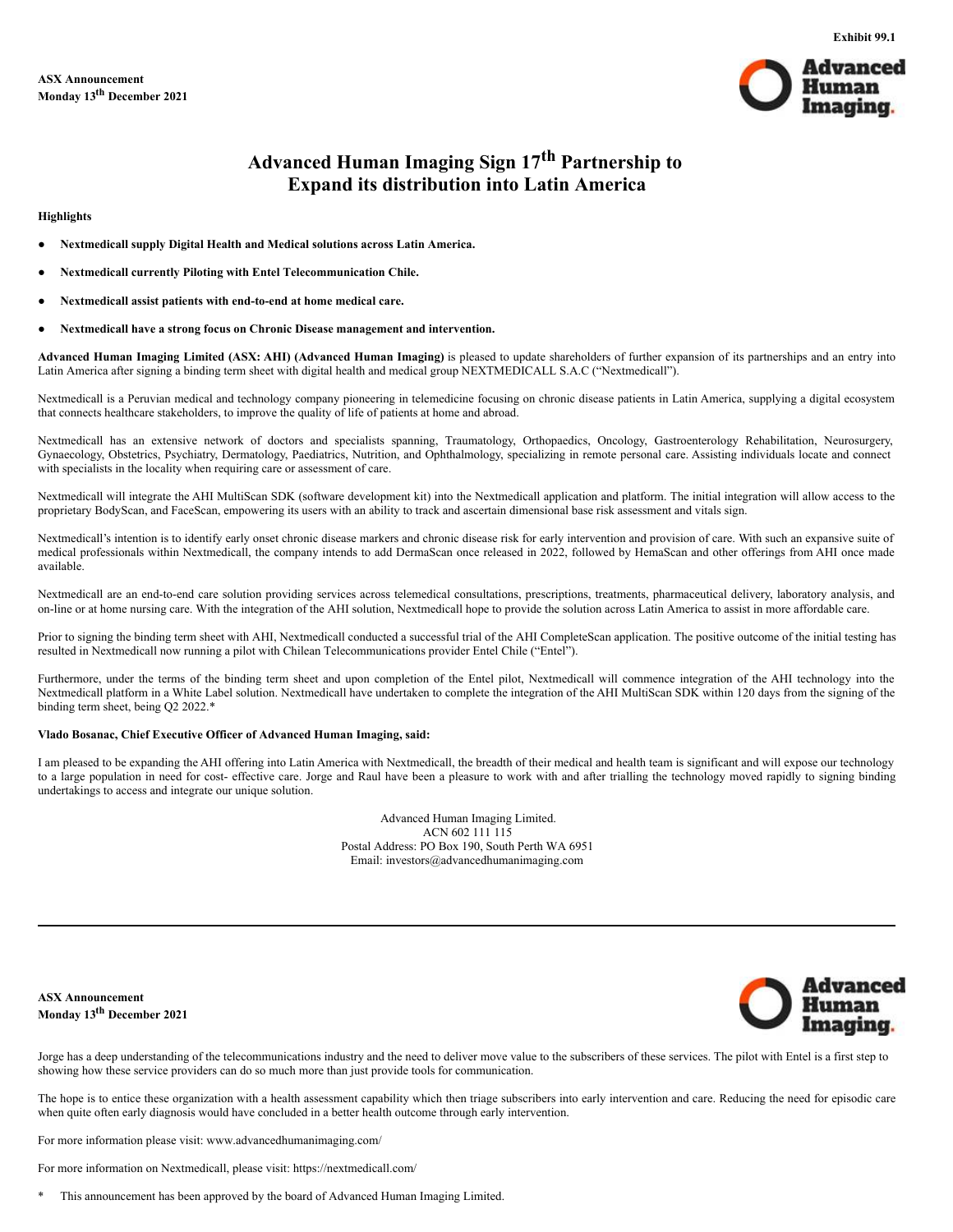

**Exhibit 99.1**

# **Advanced Human Imaging Sign 17 th Partnership to Expand its distribution into Latin America**

### <span id="page-1-0"></span>**Highlights**

- **Nextmedicall supply Digital Health and Medical solutions across Latin America.**
- **Nextmedicall currently Piloting with Entel Telecommunication Chile.**
- **Nextmedicall assist patients with end-to-end at home medical care.**
- **Nextmedicall have a strong focus on Chronic Disease management and intervention.**

**Advanced Human Imaging Limited (ASX: AHI) (Advanced Human Imaging)** is pleased to update shareholders of further expansion of its partnerships and an entry into Latin America after signing a binding term sheet with digital health and medical group NEXTMEDICALL S.A.C ("Nextmedicall").

Nextmedicall is a Peruvian medical and technology company pioneering in telemedicine focusing on chronic disease patients in Latin America, supplying a digital ecosystem that connects healthcare stakeholders, to improve the quality of life of patients at home and abroad.

Nextmedicall has an extensive network of doctors and specialists spanning, Traumatology, Orthopaedics, Oncology, Gastroenterology Rehabilitation, Neurosurgery, Gynaecology, Obstetrics, Psychiatry, Dermatology, Paediatrics, Nutrition, and Ophthalmology, specializing in remote personal care. Assisting individuals locate and connect with specialists in the locality when requiring care or assessment of care.

Nextmedicall will integrate the AHI MultiScan SDK (software development kit) into the Nextmedicall application and platform. The initial integration will allow access to the proprietary BodyScan, and FaceScan, empowering its users with an ability to track and ascertain dimensional base risk assessment and vitals sign.

Nextmedicall's intention is to identify early onset chronic disease markers and chronic disease risk for early intervention and provision of care. With such an expansive suite of medical professionals within Nextmedicall, the company intends to add DermaScan once released in 2022, followed by HemaScan and other offerings from AHI once made available.

Nextmedicall are an end-to-end care solution providing services across telemedical consultations, prescriptions, treatments, pharmaceutical delivery, laboratory analysis, and on-line or at home nursing care. With the integration of the AHI solution, Nextmedicall hope to provide the solution across Latin America to assist in more affordable care.

Prior to signing the binding term sheet with AHI, Nextmedicall conducted a successful trial of the AHI CompleteScan application. The positive outcome of the initial testing has resulted in Nextmedicall now running a pilot with Chilean Telecommunications provider Entel Chile ("Entel").

Furthermore, under the terms of the binding term sheet and upon completion of the Entel pilot, Nextmedicall will commence integration of the AHI technology into the Nextmedicall platform in a White Label solution. Nextmedicall have undertaken to complete the integration of the AHI MultiScan SDK within 120 days from the signing of the binding term sheet, being Q2 2022.\*

## **Vlado Bosanac, Chief Executive Officer of Advanced Human Imaging, said:**

I am pleased to be expanding the AHI offering into Latin America with Nextmedicall, the breadth of their medical and health team is significant and will expose our technology to a large population in need for cost- effective care. Jorge and Raul have been a pleasure to work with and after trialling the technology moved rapidly to signing binding undertakings to access and integrate our unique solution.

> Advanced Human Imaging Limited. ACN 602 111 115 Postal Address: PO Box 190, South Perth WA 6951 Email: investors@advancedhumanimaging.com

**ASX Announcement Monday 13 th December 2021**



Jorge has a deep understanding of the telecommunications industry and the need to deliver move value to the subscribers of these services. The pilot with Entel is a first step to showing how these service providers can do so much more than just provide tools for communication.

The hope is to entice these organization with a health assessment capability which then triage subscribers into early intervention and care. Reducing the need for episodic care when quite often early diagnosis would have concluded in a better health outcome through early intervention.

For more information please visit: www.advancedhumanimaging.com/

For more information on Nextmedicall, please visit: https://nextmedicall.com/

This announcement has been approved by the board of Advanced Human Imaging Limited.